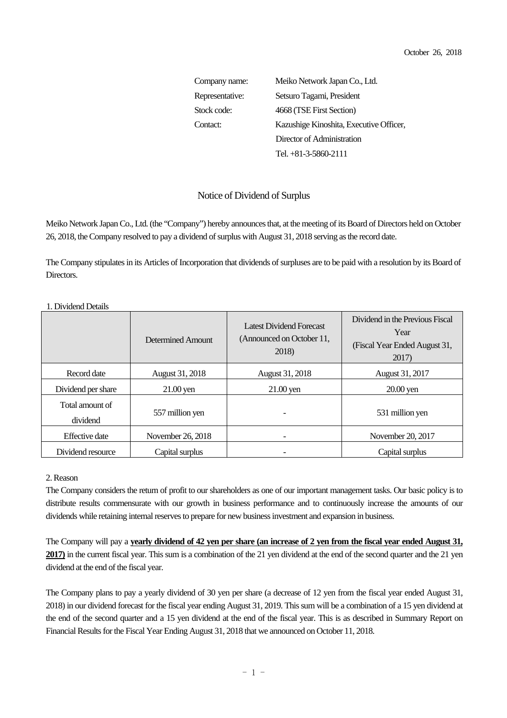Company name: Meiko Network Japan Co., Ltd. Representative: Setsuro Tagami, President Stock code: 4668 (TSE First Section) Contact: Kazushige Kinoshita, Executive Officer, Director of Administration Tel. +81-3-5860-2111

## Notice of Dividend of Surplus

Meiko Network Japan Co., Ltd. (the "Company") hereby announces that, at the meeting of its Board of Directors held on October 26, 2018, the Company resolved to pay a dividend of surplus with August 31, 2018 serving as the record date.

The Company stipulates in its Articles of Incorporation that dividends of surpluses are to be paid with a resolution by its Board of Directors.

|                             | Determined Amount | Latest Dividend Forecast<br>(Announced on October 11,<br>2018) | Dividend in the Previous Fiscal<br>Year<br>(Fiscal Year Ended August 31,<br>2017) |
|-----------------------------|-------------------|----------------------------------------------------------------|-----------------------------------------------------------------------------------|
| Record date                 | August 31, 2018   | August 31, 2018                                                | August 31, 2017                                                                   |
| Dividend per share          | $21.00$ yen       | $21.00$ yen                                                    | $20.00$ yen                                                                       |
| Total amount of<br>dividend | 557 million yen   | $\overline{\phantom{0}}$                                       | 531 million yen                                                                   |
| <b>Effective</b> date       | November 26, 2018 | ۰                                                              | November 20, 2017                                                                 |
| Dividend resource           | Capital surplus   |                                                                | Capital surplus                                                                   |

1. Dividend Details

## 2. Reason

The Company considers the return of profit to our shareholders as one of our important management tasks. Our basic policy is to distribute results commensurate with our growth in business performance and to continuously increase the amounts of our dividends while retaining internal reserves to prepare for new business investment and expansion in business.

The Company will pay a **yearly dividend of 42 yen per share (an increase of 2 yen from the fiscal year ended August 31, 2017)** in the current fiscal year. This sum is a combination of the 21 yen dividend at the end of the second quarter and the 21 yen dividend at the end of the fiscal year.

The Company plans to pay a yearly dividend of 30 yen per share (a decrease of 12 yen from the fiscal year ended August 31, 2018) in our dividend forecast for the fiscal year ending August 31, 2019. This sum will be a combination of a 15 yen dividend at the end of the second quarter and a 15 yen dividend at the end of the fiscal year. This is as described in Summary Report on Financial Results for the Fiscal Year Ending August 31, 2018 that we announced on October 11, 2018.